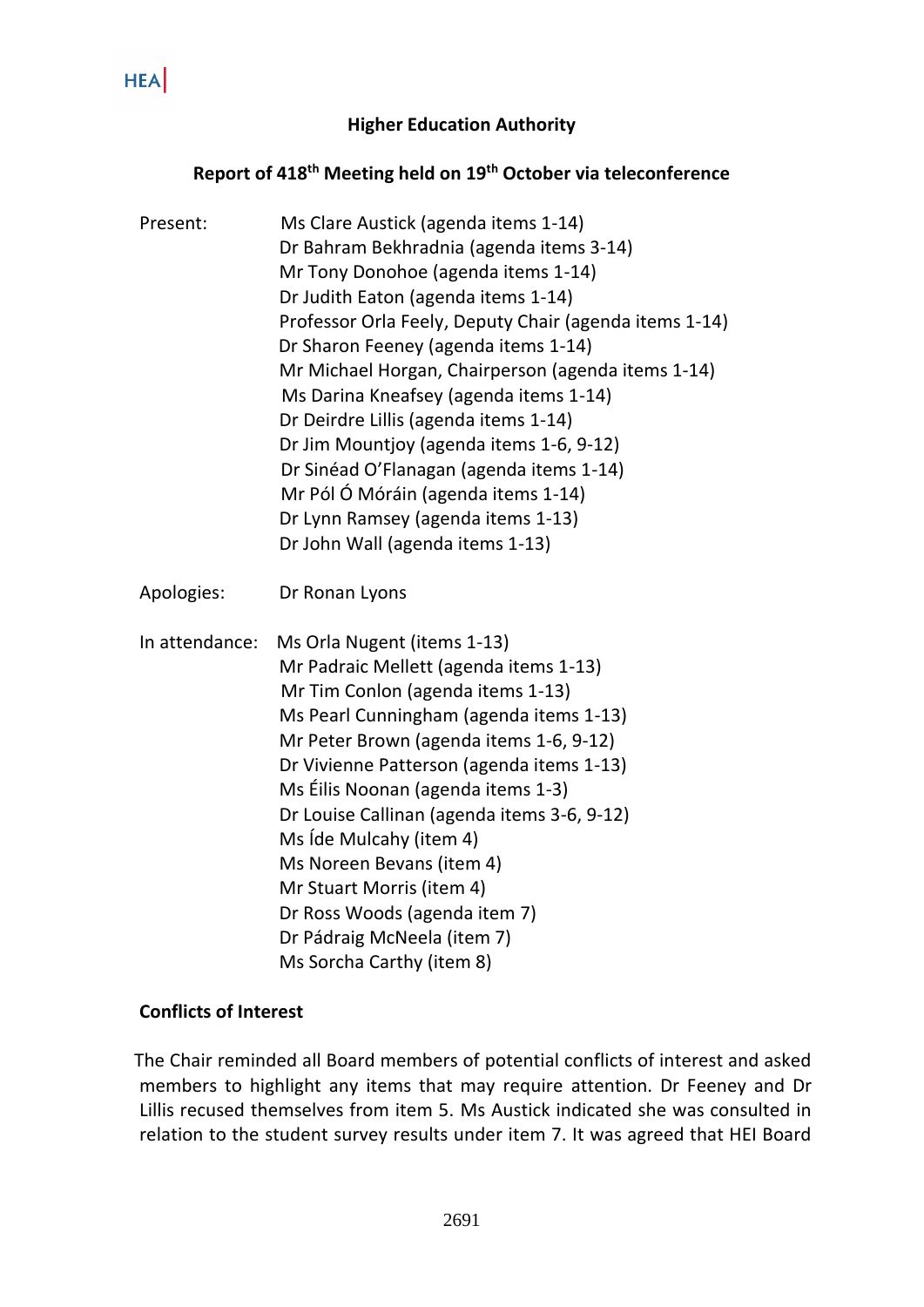#### **Higher Education Authority**

# **Report of 418 th Meeting held on 19th October via teleconference**

| Present:       | Ms Clare Austick (agenda items 1-14)<br>Dr Bahram Bekhradnia (agenda items 3-14)<br>Mr Tony Donohoe (agenda items 1-14)<br>Dr Judith Eaton (agenda items 1-14)<br>Professor Orla Feely, Deputy Chair (agenda items 1-14)<br>Dr Sharon Feeney (agenda items 1-14)<br>Mr Michael Horgan, Chairperson (agenda items 1-14)<br>Ms Darina Kneafsey (agenda items 1-14)<br>Dr Deirdre Lillis (agenda items 1-14)<br>Dr Jim Mountjoy (agenda items 1-6, 9-12)<br>Dr Sinéad O'Flanagan (agenda items 1-14)<br>Mr Pól Ó Móráin (agenda items 1-14)<br>Dr Lynn Ramsey (agenda items 1-13)<br>Dr John Wall (agenda items 1-13) |
|----------------|--------------------------------------------------------------------------------------------------------------------------------------------------------------------------------------------------------------------------------------------------------------------------------------------------------------------------------------------------------------------------------------------------------------------------------------------------------------------------------------------------------------------------------------------------------------------------------------------------------------------|
| Apologies:     | Dr Ronan Lyons                                                                                                                                                                                                                                                                                                                                                                                                                                                                                                                                                                                                     |
| In attendance: | Ms Orla Nugent (items 1-13)<br>Mr Padraic Mellett (agenda items 1-13)<br>Mr Tim Conlon (agenda items 1-13)<br>Ms Pearl Cunningham (agenda items 1-13)<br>Mr Peter Brown (agenda items 1-6, 9-12)<br>Dr Vivienne Patterson (agenda items 1-13)<br>Ms Éilis Noonan (agenda items 1-3)<br>Dr Louise Callinan (agenda items 3-6, 9-12)<br>Ms Ide Mulcahy (item 4)<br>Ms Noreen Bevans (item 4)<br>Mr Stuart Morris (item 4)<br>Dr Ross Woods (agenda item 7)<br>Dr Pádraig McNeela (item 7)<br>Ms Sorcha Carthy (item 8)                                                                                               |

### **Conflicts of Interest**

 The Chair reminded all Board members of potential conflicts of interest and asked members to highlight any items that may require attention. Dr Feeney and Dr Lillis recused themselves from item 5. Ms Austick indicated she was consulted in relation to the student survey results under item 7. It was agreed that HEI Board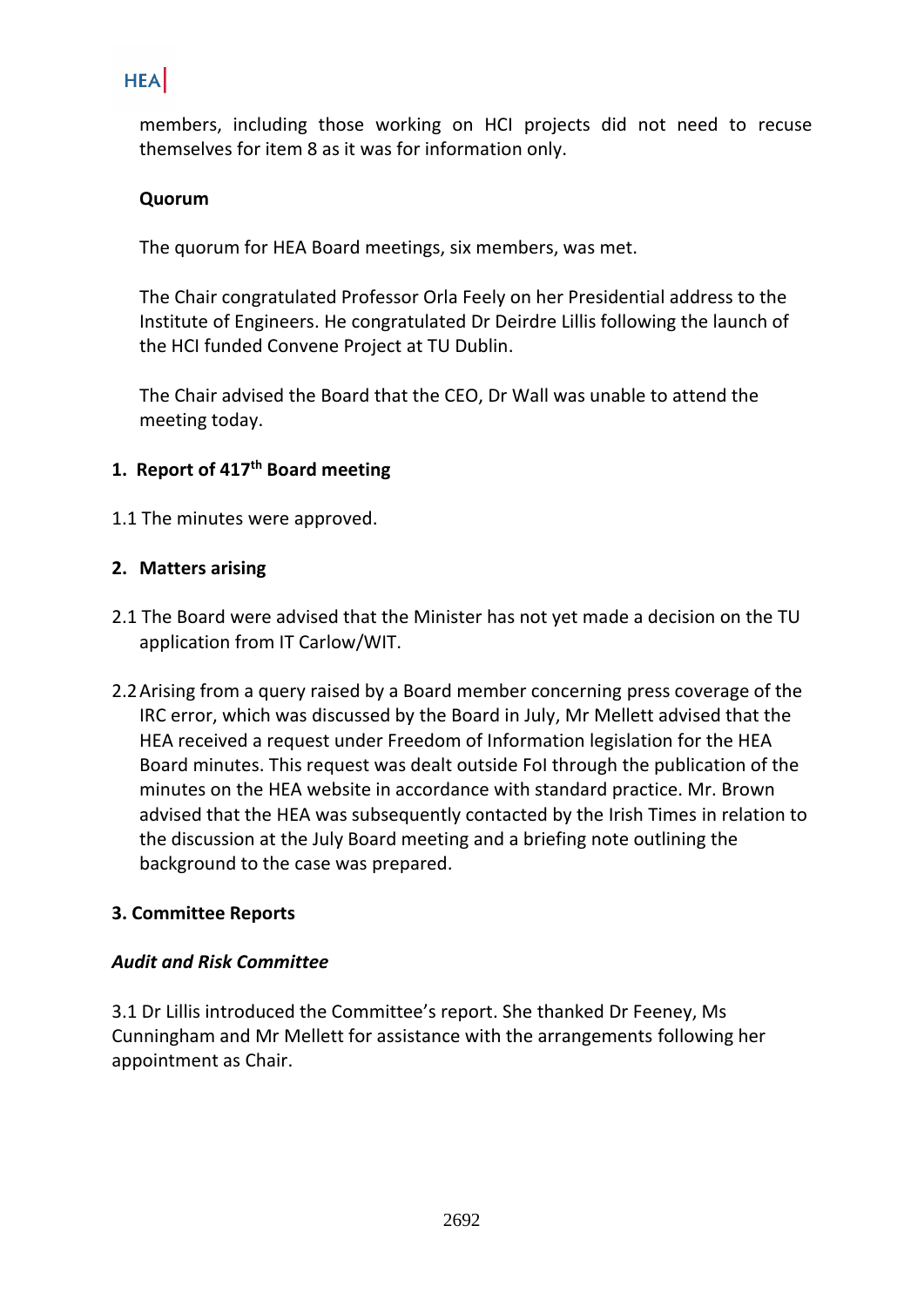members, including those working on HCI projects did not need to recuse themselves for item 8 as it was for information only.

## **Quorum**

The quorum for HEA Board meetings, six members, was met.

The Chair congratulated Professor Orla Feely on her Presidential address to the Institute of Engineers. He congratulated Dr Deirdre Lillis following the launch of the HCI funded Convene Project at TU Dublin.

The Chair advised the Board that the CEO, Dr Wall was unable to attend the meeting today.

# **1. Report of 417 th Board meeting**

1.1 The minutes were approved.

#### **2. Matters arising**

- 2.1 The Board were advised that the Minister has not yet made a decision on the TU application from IT Carlow/WIT.
- 2.2Arising from a query raised by a Board member concerning press coverage of the IRC error, which was discussed by the Board in July, Mr Mellett advised that the HEA received a request under Freedom of Information legislation for the HEA Board minutes. This request was dealt outside FoI through the publication of the minutes on the HEA website in accordance with standard practice. Mr. Brown advised that the HEA was subsequently contacted by the Irish Times in relation to the discussion at the July Board meeting and a briefing note outlining the background to the case was prepared.

#### **3. Committee Reports**

#### *Audit and Risk Committee*

3.1 Dr Lillis introduced the Committee's report. She thanked Dr Feeney, Ms Cunningham and Mr Mellett for assistance with the arrangements following her appointment as Chair.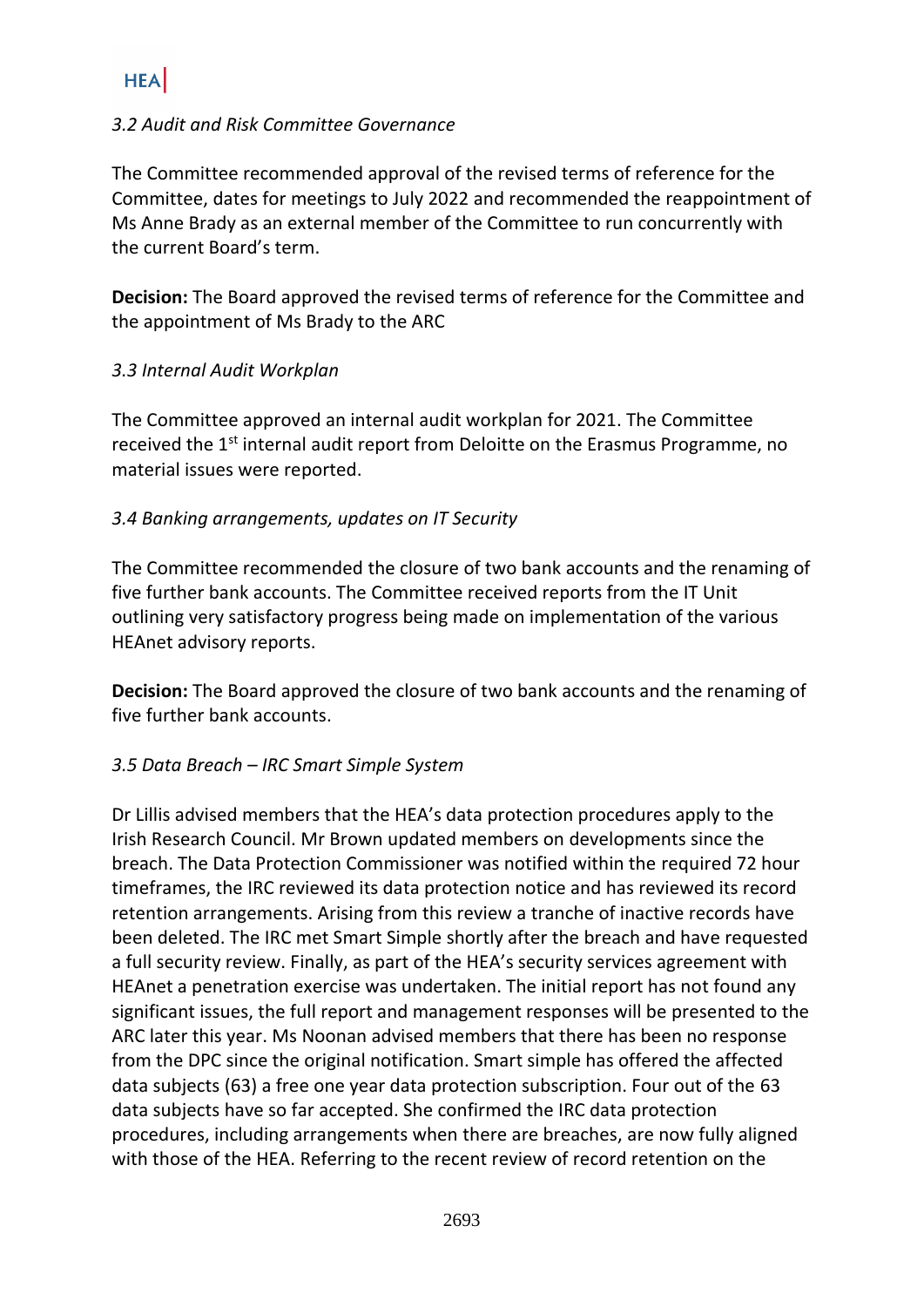### *3.2 Audit and Risk Committee Governance*

The Committee recommended approval of the revised terms of reference for the Committee, dates for meetings to July 2022 and recommended the reappointment of Ms Anne Brady as an external member of the Committee to run concurrently with the current Board's term.

**Decision:** The Board approved the revised terms of reference for the Committee and the appointment of Ms Brady to the ARC

#### *3.3 Internal Audit Workplan*

The Committee approved an internal audit workplan for 2021. The Committee received the 1<sup>st</sup> internal audit report from Deloitte on the Erasmus Programme, no material issues were reported.

## *3.4 Banking arrangements, updates on IT Security*

The Committee recommended the closure of two bank accounts and the renaming of five further bank accounts. The Committee received reports from the IT Unit outlining very satisfactory progress being made on implementation of the various HEAnet advisory reports.

**Decision:** The Board approved the closure of two bank accounts and the renaming of five further bank accounts.

#### *3.5 Data Breach – IRC Smart Simple System*

Dr Lillis advised members that the HEA's data protection procedures apply to the Irish Research Council. Mr Brown updated members on developments since the breach. The Data Protection Commissioner was notified within the required 72 hour timeframes, the IRC reviewed its data protection notice and has reviewed its record retention arrangements. Arising from this review a tranche of inactive records have been deleted. The IRC met Smart Simple shortly after the breach and have requested a full security review. Finally, as part of the HEA's security services agreement with HEAnet a penetration exercise was undertaken. The initial report has not found any significant issues, the full report and management responses will be presented to the ARC later this year. Ms Noonan advised members that there has been no response from the DPC since the original notification. Smart simple has offered the affected data subjects (63) a free one year data protection subscription. Four out of the 63 data subjects have so far accepted. She confirmed the IRC data protection procedures, including arrangements when there are breaches, are now fully aligned with those of the HEA. Referring to the recent review of record retention on the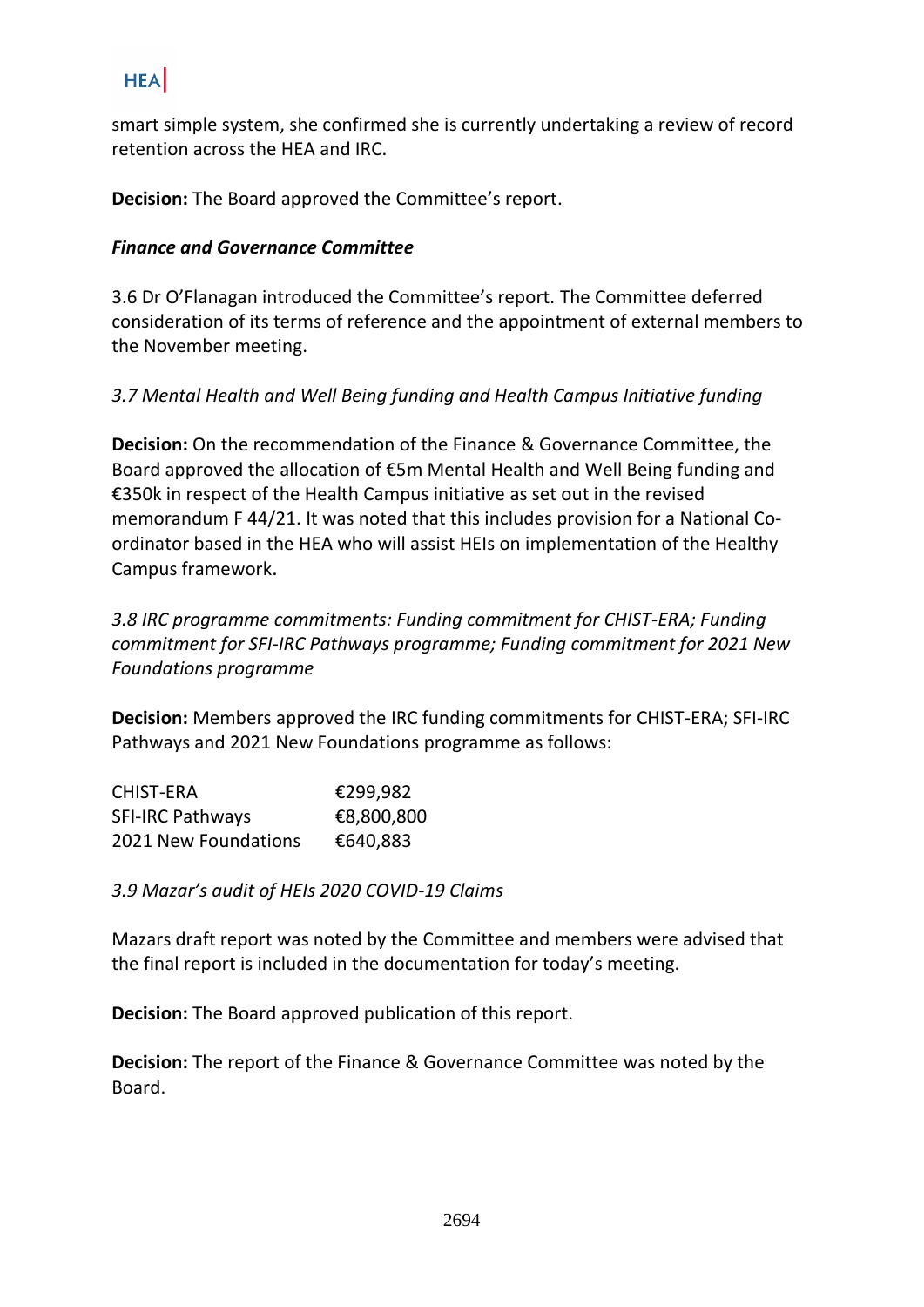smart simple system, she confirmed she is currently undertaking a review of record retention across the HEA and IRC.

**Decision:** The Board approved the Committee's report.

## *Finance and Governance Committee*

3.6 Dr O'Flanagan introduced the Committee's report. The Committee deferred consideration of its terms of reference and the appointment of external members to the November meeting.

# *3.7 Mental Health and Well Being funding and Health Campus Initiative funding*

**Decision:** On the recommendation of the Finance & Governance Committee, the Board approved the allocation of €5m Mental Health and Well Being funding and €350k in respect of the Health Campus initiative as set out in the revised memorandum F 44/21. It was noted that this includes provision for a National Coordinator based in the HEA who will assist HEIs on implementation of the Healthy Campus framework.

*3.8 IRC programme commitments: Funding commitment for CHIST-ERA; Funding commitment for SFI-IRC Pathways programme; Funding commitment for 2021 New Foundations programme*

**Decision:** Members approved the IRC funding commitments for CHIST-ERA; SFI-IRC Pathways and 2021 New Foundations programme as follows:

| CHIST-ERA                   | €299,982   |
|-----------------------------|------------|
| <b>SFI-IRC Pathways</b>     | €8,800,800 |
| <b>2021 New Foundations</b> | €640,883   |

*3.9 Mazar's audit of HEIs 2020 COVID-19 Claims*

Mazars draft report was noted by the Committee and members were advised that the final report is included in the documentation for today's meeting.

**Decision:** The Board approved publication of this report.

**Decision:** The report of the Finance & Governance Committee was noted by the Board.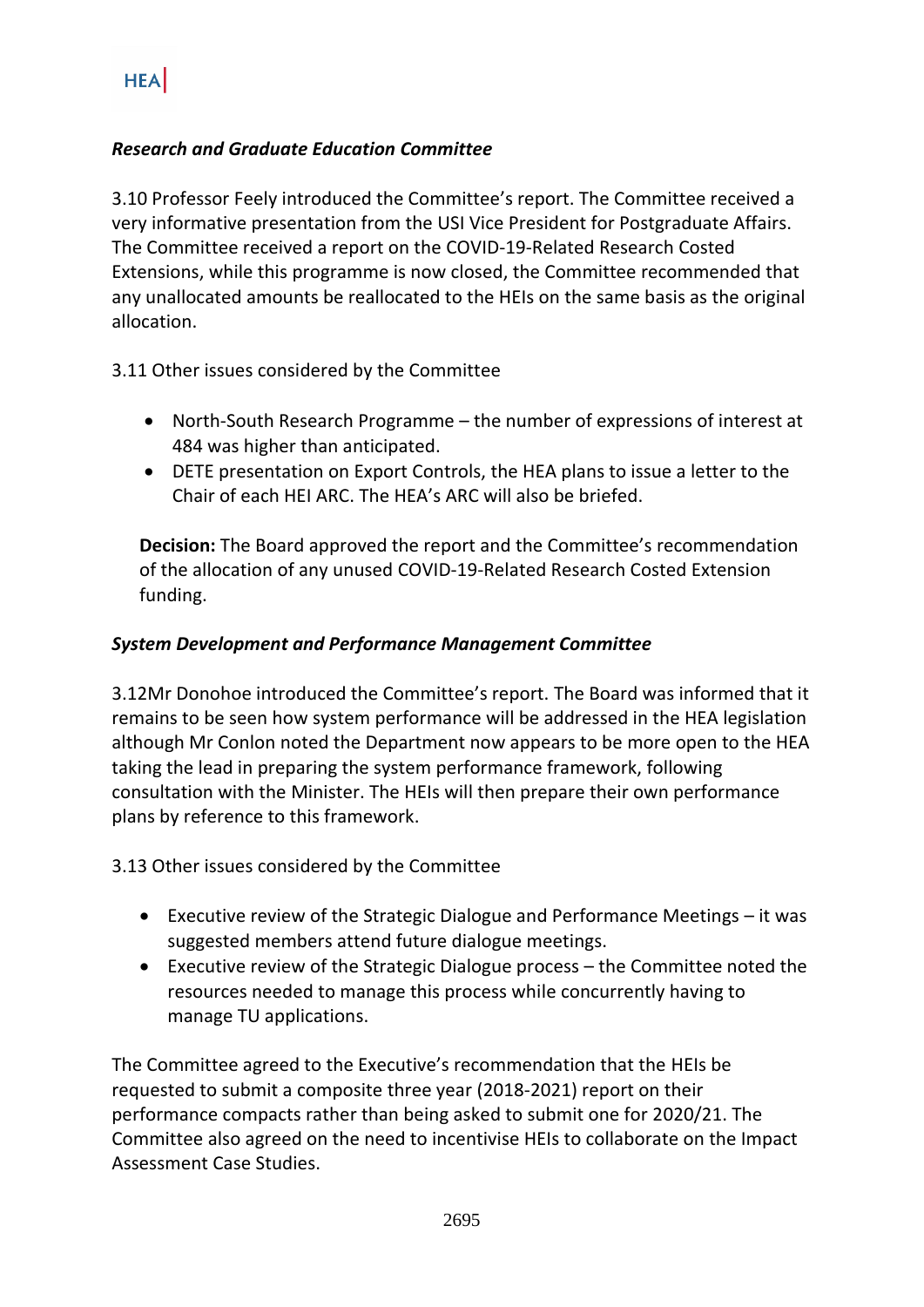# *Research and Graduate Education Committee*

3.10 Professor Feely introduced the Committee's report. The Committee received a very informative presentation from the USI Vice President for Postgraduate Affairs. The Committee received a report on the COVID-19-Related Research Costed Extensions, while this programme is now closed, the Committee recommended that any unallocated amounts be reallocated to the HEIs on the same basis as the original allocation.

#### 3.11 Other issues considered by the Committee

- North-South Research Programme the number of expressions of interest at 484 was higher than anticipated.
- DETE presentation on Export Controls, the HEA plans to issue a letter to the Chair of each HEI ARC. The HEA's ARC will also be briefed.

**Decision:** The Board approved the report and the Committee's recommendation of the allocation of any unused COVID-19-Related Research Costed Extension funding.

#### *System Development and Performance Management Committee*

3.12Mr Donohoe introduced the Committee's report. The Board was informed that it remains to be seen how system performance will be addressed in the HEA legislation although Mr Conlon noted the Department now appears to be more open to the HEA taking the lead in preparing the system performance framework, following consultation with the Minister. The HEIs will then prepare their own performance plans by reference to this framework.

3.13 Other issues considered by the Committee

- Executive review of the Strategic Dialogue and Performance Meetings it was suggested members attend future dialogue meetings.
- Executive review of the Strategic Dialogue process the Committee noted the resources needed to manage this process while concurrently having to manage TU applications.

The Committee agreed to the Executive's recommendation that the HEIs be requested to submit a composite three year (2018-2021) report on their performance compacts rather than being asked to submit one for 2020/21. The Committee also agreed on the need to incentivise HEIs to collaborate on the Impact Assessment Case Studies.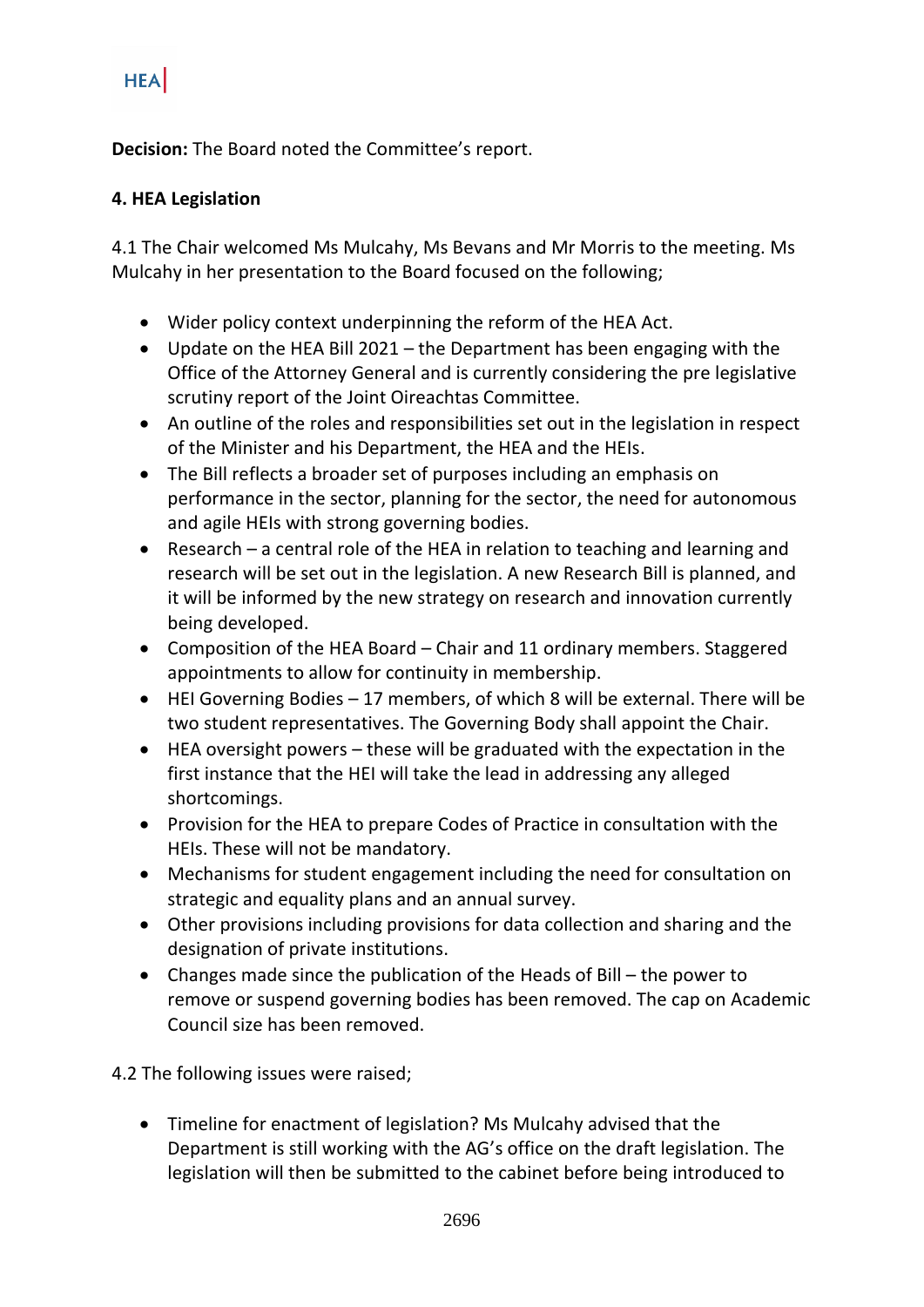**Decision:** The Board noted the Committee's report.

## **4. HEA Legislation**

4.1 The Chair welcomed Ms Mulcahy, Ms Bevans and Mr Morris to the meeting. Ms Mulcahy in her presentation to the Board focused on the following;

- Wider policy context underpinning the reform of the HEA Act.
- Update on the HEA Bill 2021 the Department has been engaging with the Office of the Attorney General and is currently considering the pre legislative scrutiny report of the Joint Oireachtas Committee.
- An outline of the roles and responsibilities set out in the legislation in respect of the Minister and his Department, the HEA and the HEIs.
- The Bill reflects a broader set of purposes including an emphasis on performance in the sector, planning for the sector, the need for autonomous and agile HEIs with strong governing bodies.
- Research a central role of the HEA in relation to teaching and learning and research will be set out in the legislation. A new Research Bill is planned, and it will be informed by the new strategy on research and innovation currently being developed.
- Composition of the HEA Board Chair and 11 ordinary members. Staggered appointments to allow for continuity in membership.
- HEI Governing Bodies 17 members, of which 8 will be external. There will be two student representatives. The Governing Body shall appoint the Chair.
- HEA oversight powers these will be graduated with the expectation in the first instance that the HEI will take the lead in addressing any alleged shortcomings.
- Provision for the HEA to prepare Codes of Practice in consultation with the HEIs. These will not be mandatory.
- Mechanisms for student engagement including the need for consultation on strategic and equality plans and an annual survey.
- Other provisions including provisions for data collection and sharing and the designation of private institutions.
- Changes made since the publication of the Heads of Bill the power to remove or suspend governing bodies has been removed. The cap on Academic Council size has been removed.

4.2 The following issues were raised;

• Timeline for enactment of legislation? Ms Mulcahy advised that the Department is still working with the AG's office on the draft legislation. The legislation will then be submitted to the cabinet before being introduced to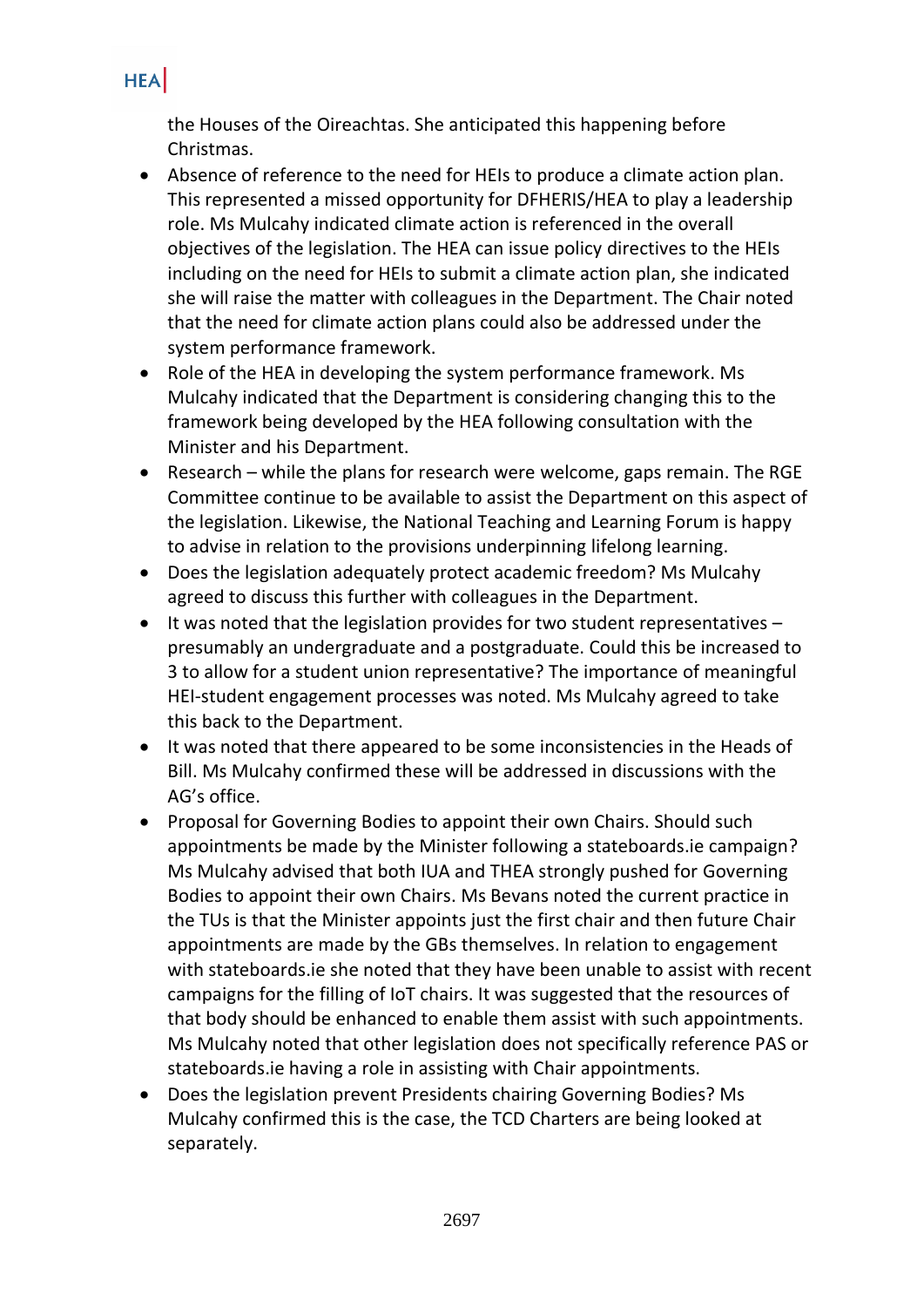the Houses of the Oireachtas. She anticipated this happening before Christmas.

- Absence of reference to the need for HEIs to produce a climate action plan. This represented a missed opportunity for DFHERIS/HEA to play a leadership role. Ms Mulcahy indicated climate action is referenced in the overall objectives of the legislation. The HEA can issue policy directives to the HEIs including on the need for HEIs to submit a climate action plan, she indicated she will raise the matter with colleagues in the Department. The Chair noted that the need for climate action plans could also be addressed under the system performance framework.
- Role of the HEA in developing the system performance framework. Ms Mulcahy indicated that the Department is considering changing this to the framework being developed by the HEA following consultation with the Minister and his Department.
- Research while the plans for research were welcome, gaps remain. The RGE Committee continue to be available to assist the Department on this aspect of the legislation. Likewise, the National Teaching and Learning Forum is happy to advise in relation to the provisions underpinning lifelong learning.
- Does the legislation adequately protect academic freedom? Ms Mulcahy agreed to discuss this further with colleagues in the Department.
- It was noted that the legislation provides for two student representatives presumably an undergraduate and a postgraduate. Could this be increased to 3 to allow for a student union representative? The importance of meaningful HEI-student engagement processes was noted. Ms Mulcahy agreed to take this back to the Department.
- It was noted that there appeared to be some inconsistencies in the Heads of Bill. Ms Mulcahy confirmed these will be addressed in discussions with the AG's office.
- Proposal for Governing Bodies to appoint their own Chairs. Should such appointments be made by the Minister following a stateboards.ie campaign? Ms Mulcahy advised that both IUA and THEA strongly pushed for Governing Bodies to appoint their own Chairs. Ms Bevans noted the current practice in the TUs is that the Minister appoints just the first chair and then future Chair appointments are made by the GBs themselves. In relation to engagement with stateboards.ie she noted that they have been unable to assist with recent campaigns for the filling of IoT chairs. It was suggested that the resources of that body should be enhanced to enable them assist with such appointments. Ms Mulcahy noted that other legislation does not specifically reference PAS or stateboards.ie having a role in assisting with Chair appointments.
- Does the legislation prevent Presidents chairing Governing Bodies? Ms Mulcahy confirmed this is the case, the TCD Charters are being looked at separately.

### **HEA**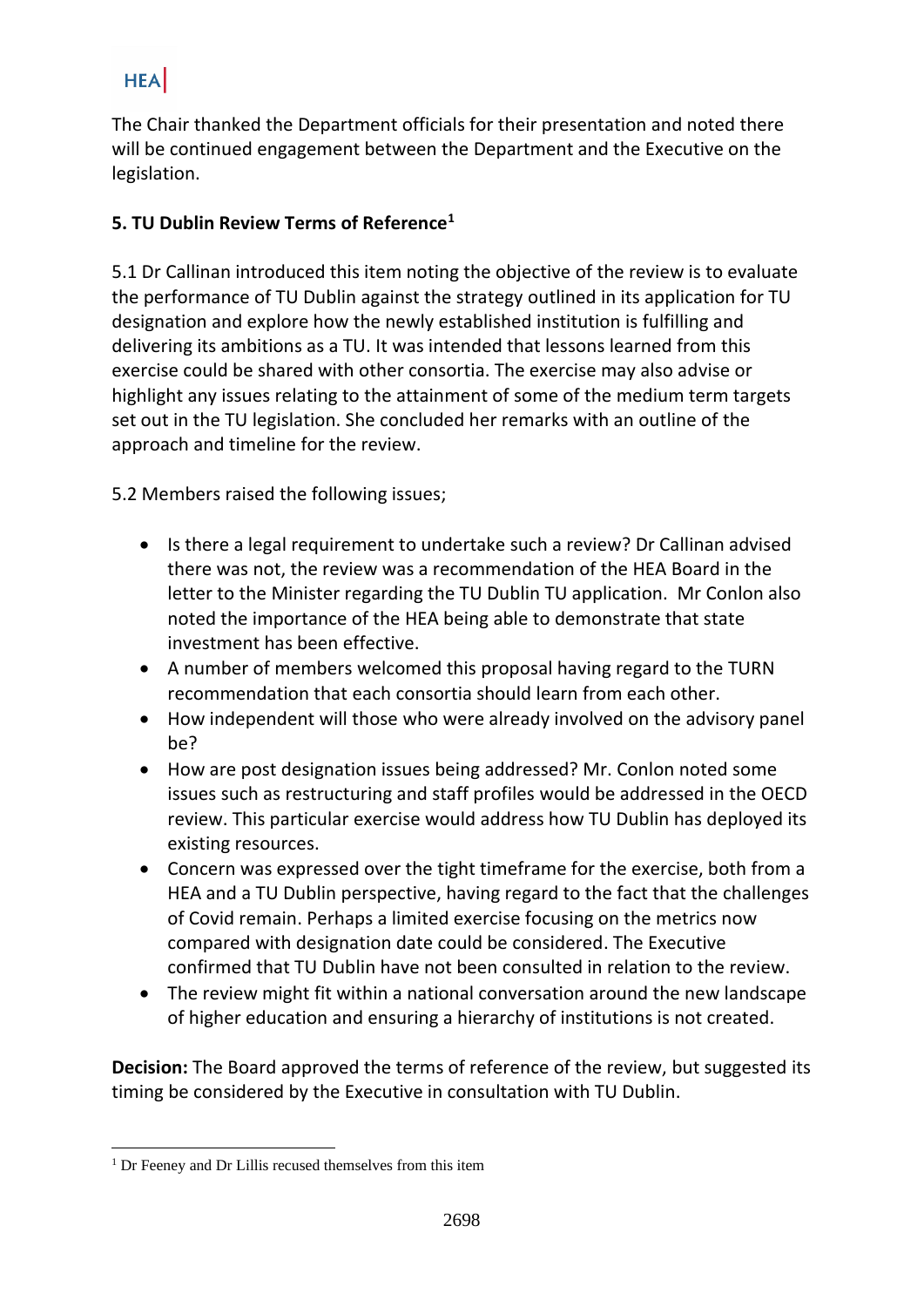The Chair thanked the Department officials for their presentation and noted there will be continued engagement between the Department and the Executive on the legislation.

# **5. TU Dublin Review Terms of Reference<sup>1</sup>**

5.1 Dr Callinan introduced this item noting the objective of the review is to evaluate the performance of TU Dublin against the strategy outlined in its application for TU designation and explore how the newly established institution is fulfilling and delivering its ambitions as a TU. It was intended that lessons learned from this exercise could be shared with other consortia. The exercise may also advise or highlight any issues relating to the attainment of some of the medium term targets set out in the TU legislation. She concluded her remarks with an outline of the approach and timeline for the review.

5.2 Members raised the following issues;

- Is there a legal requirement to undertake such a review? Dr Callinan advised there was not, the review was a recommendation of the HEA Board in the letter to the Minister regarding the TU Dublin TU application. Mr Conlon also noted the importance of the HEA being able to demonstrate that state investment has been effective.
- A number of members welcomed this proposal having regard to the TURN recommendation that each consortia should learn from each other.
- How independent will those who were already involved on the advisory panel be?
- How are post designation issues being addressed? Mr. Conlon noted some issues such as restructuring and staff profiles would be addressed in the OECD review. This particular exercise would address how TU Dublin has deployed its existing resources.
- Concern was expressed over the tight timeframe for the exercise, both from a HEA and a TU Dublin perspective, having regard to the fact that the challenges of Covid remain. Perhaps a limited exercise focusing on the metrics now compared with designation date could be considered. The Executive confirmed that TU Dublin have not been consulted in relation to the review.
- The review might fit within a national conversation around the new landscape of higher education and ensuring a hierarchy of institutions is not created.

**Decision:** The Board approved the terms of reference of the review, but suggested its timing be considered by the Executive in consultation with TU Dublin.

<sup>&</sup>lt;sup>1</sup> Dr Feeney and Dr Lillis recused themselves from this item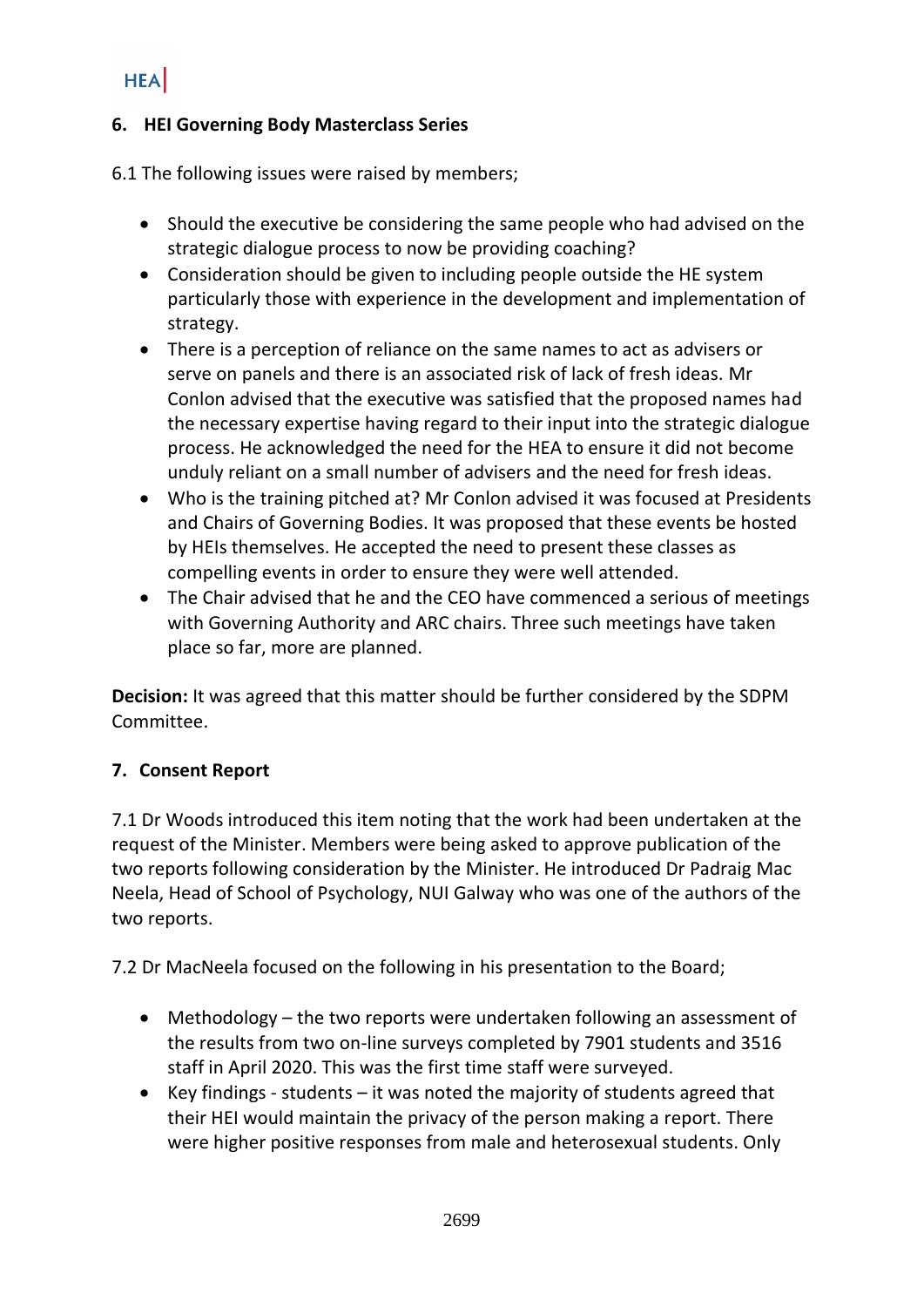### **6. HEI Governing Body Masterclass Series**

6.1 The following issues were raised by members;

- Should the executive be considering the same people who had advised on the strategic dialogue process to now be providing coaching?
- Consideration should be given to including people outside the HE system particularly those with experience in the development and implementation of strategy.
- There is a perception of reliance on the same names to act as advisers or serve on panels and there is an associated risk of lack of fresh ideas. Mr Conlon advised that the executive was satisfied that the proposed names had the necessary expertise having regard to their input into the strategic dialogue process. He acknowledged the need for the HEA to ensure it did not become unduly reliant on a small number of advisers and the need for fresh ideas.
- Who is the training pitched at? Mr Conlon advised it was focused at Presidents and Chairs of Governing Bodies. It was proposed that these events be hosted by HEIs themselves. He accepted the need to present these classes as compelling events in order to ensure they were well attended.
- The Chair advised that he and the CEO have commenced a serious of meetings with Governing Authority and ARC chairs. Three such meetings have taken place so far, more are planned.

**Decision:** It was agreed that this matter should be further considered by the SDPM Committee.

# **7. Consent Report**

7.1 Dr Woods introduced this item noting that the work had been undertaken at the request of the Minister. Members were being asked to approve publication of the two reports following consideration by the Minister. He introduced Dr Padraig Mac Neela, Head of School of Psychology, NUI Galway who was one of the authors of the two reports.

7.2 Dr MacNeela focused on the following in his presentation to the Board;

- Methodology the two reports were undertaken following an assessment of the results from two on-line surveys completed by 7901 students and 3516 staff in April 2020. This was the first time staff were surveyed.
- Key findings students it was noted the majority of students agreed that their HEI would maintain the privacy of the person making a report. There were higher positive responses from male and heterosexual students. Only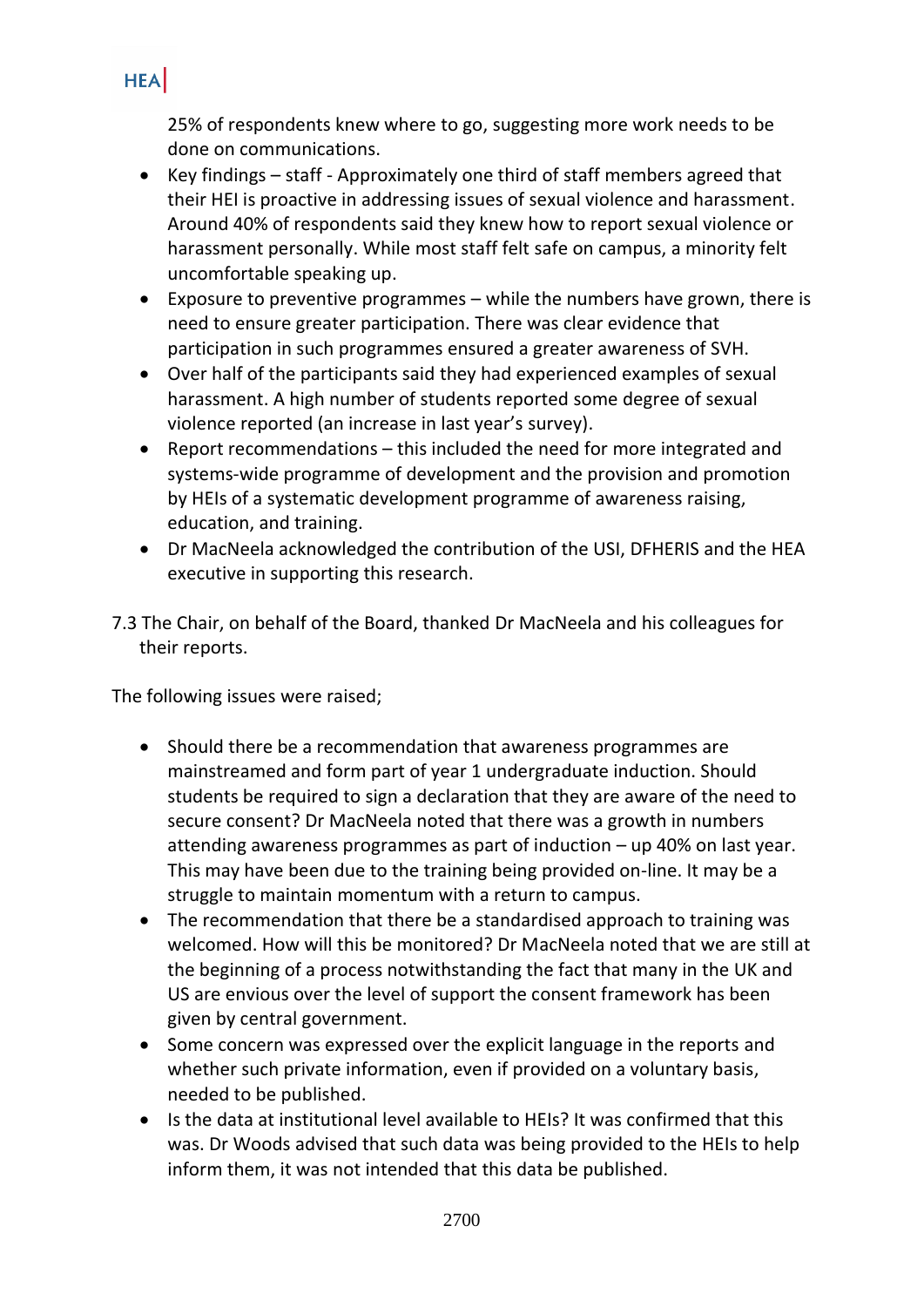25% of respondents knew where to go, suggesting more work needs to be done on communications.

- Key findings staff Approximately one third of staff members agreed that their HEI is proactive in addressing issues of sexual violence and harassment. Around 40% of respondents said they knew how to report sexual violence or harassment personally. While most staff felt safe on campus, a minority felt uncomfortable speaking up.
- Exposure to preventive programmes while the numbers have grown, there is need to ensure greater participation. There was clear evidence that participation in such programmes ensured a greater awareness of SVH.
- Over half of the participants said they had experienced examples of sexual harassment. A high number of students reported some degree of sexual violence reported (an increase in last year's survey).
- Report recommendations this included the need for more integrated and systems-wide programme of development and the provision and promotion by HEIs of a systematic development programme of awareness raising, education, and training.
- Dr MacNeela acknowledged the contribution of the USI, DFHERIS and the HEA executive in supporting this research.
- 7.3 The Chair, on behalf of the Board, thanked Dr MacNeela and his colleagues for their reports.

The following issues were raised;

- Should there be a recommendation that awareness programmes are mainstreamed and form part of year 1 undergraduate induction. Should students be required to sign a declaration that they are aware of the need to secure consent? Dr MacNeela noted that there was a growth in numbers attending awareness programmes as part of induction – up 40% on last year. This may have been due to the training being provided on-line. It may be a struggle to maintain momentum with a return to campus.
- The recommendation that there be a standardised approach to training was welcomed. How will this be monitored? Dr MacNeela noted that we are still at the beginning of a process notwithstanding the fact that many in the UK and US are envious over the level of support the consent framework has been given by central government.
- Some concern was expressed over the explicit language in the reports and whether such private information, even if provided on a voluntary basis, needed to be published.
- Is the data at institutional level available to HEIs? It was confirmed that this was. Dr Woods advised that such data was being provided to the HEIs to help inform them, it was not intended that this data be published.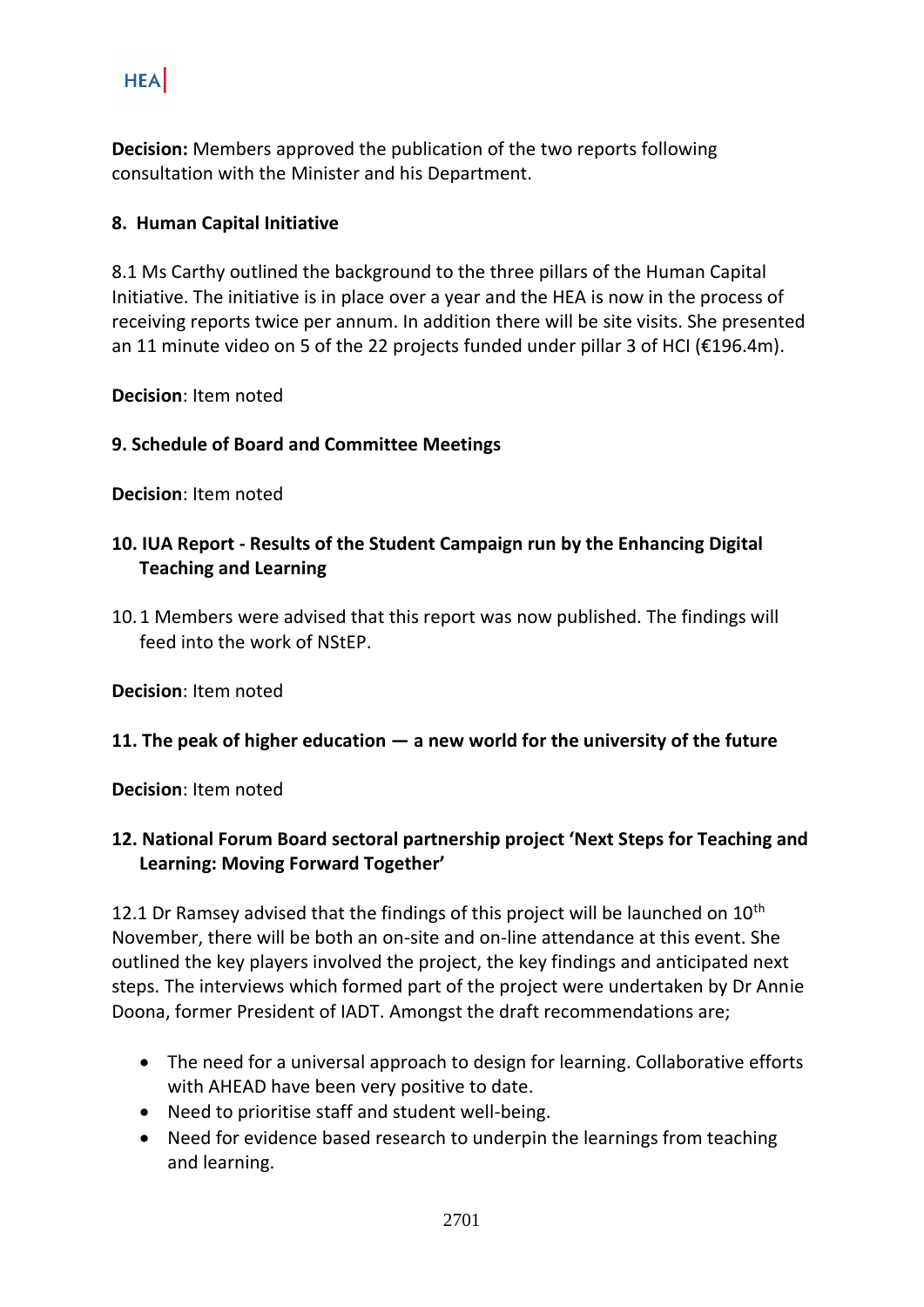**Decision:** Members approved the publication of the two reports following consultation with the Minister and his Department.

#### **8. Human Capital Initiative**

8.1 Ms Carthy outlined the background to the three pillars of the Human Capital Initiative. The initiative is in place over a year and the HEA is now in the process of receiving reports twice per annum. In addition there will be site visits. She presented an 11 minute video on 5 of the 22 projects funded under pillar 3 of HCI ( $\epsilon$ 196.4m).

**Decision**: Item noted

#### **9. Schedule of Board and Committee Meetings**

**Decision**: Item noted

# **10. IUA Report - Results of the Student Campaign run by the Enhancing Digital Teaching and Learning**

10.1 Members were advised that this report was now published. The findings will feed into the work of NStEP.

**Decision**: Item noted

#### **11. The peak of higher education — a new world for the university of the future**

**Decision**: Item noted

# **12. National Forum Board sectoral partnership project 'Next Steps for Teaching and Learning: Moving Forward Together'**

12.1 Dr Ramsey advised that the findings of this project will be launched on  $10^{th}$ November, there will be both an on-site and on-line attendance at this event. She outlined the key players involved the project, the key findings and anticipated next steps. The interviews which formed part of the project were undertaken by Dr Annie Doona, former President of IADT. Amongst the draft recommendations are;

- The need for a universal approach to design for learning. Collaborative efforts with AHEAD have been very positive to date.
- Need to prioritise staff and student well-being.
- Need for evidence based research to underpin the learnings from teaching and learning.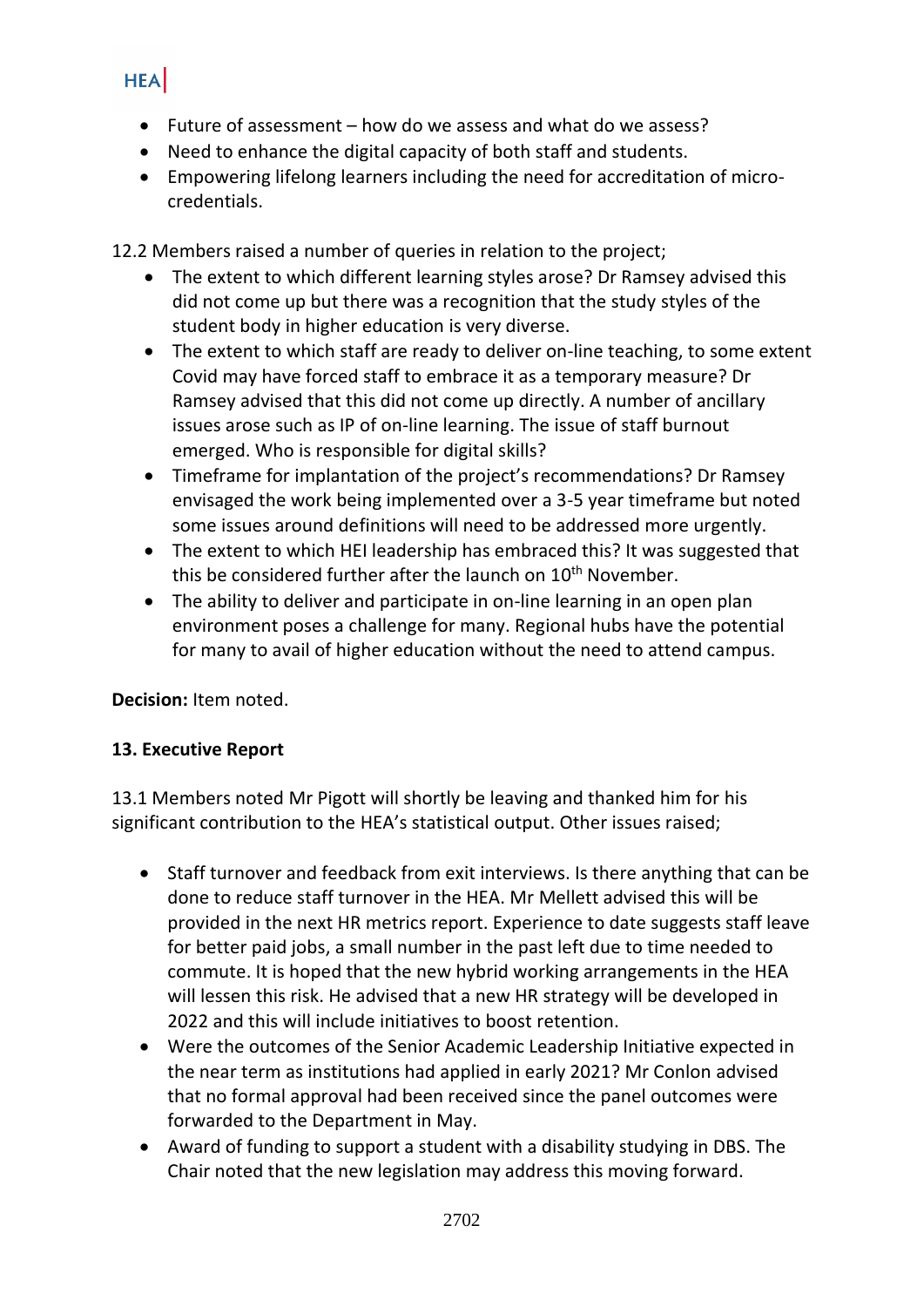- Future of assessment how do we assess and what do we assess?
- Need to enhance the digital capacity of both staff and students.
- Empowering lifelong learners including the need for accreditation of microcredentials.

12.2 Members raised a number of queries in relation to the project;

- The extent to which different learning styles arose? Dr Ramsey advised this did not come up but there was a recognition that the study styles of the student body in higher education is very diverse.
- The extent to which staff are ready to deliver on-line teaching, to some extent Covid may have forced staff to embrace it as a temporary measure? Dr Ramsey advised that this did not come up directly. A number of ancillary issues arose such as IP of on-line learning. The issue of staff burnout emerged. Who is responsible for digital skills?
- Timeframe for implantation of the project's recommendations? Dr Ramsey envisaged the work being implemented over a 3-5 year timeframe but noted some issues around definitions will need to be addressed more urgently.
- The extent to which HEI leadership has embraced this? It was suggested that this be considered further after the launch on 10<sup>th</sup> November.
- The ability to deliver and participate in on-line learning in an open plan environment poses a challenge for many. Regional hubs have the potential for many to avail of higher education without the need to attend campus.

**Decision:** Item noted.

# **13. Executive Report**

13.1 Members noted Mr Pigott will shortly be leaving and thanked him for his significant contribution to the HEA's statistical output. Other issues raised;

- Staff turnover and feedback from exit interviews. Is there anything that can be done to reduce staff turnover in the HEA. Mr Mellett advised this will be provided in the next HR metrics report. Experience to date suggests staff leave for better paid jobs, a small number in the past left due to time needed to commute. It is hoped that the new hybrid working arrangements in the HEA will lessen this risk. He advised that a new HR strategy will be developed in 2022 and this will include initiatives to boost retention.
- Were the outcomes of the Senior Academic Leadership Initiative expected in the near term as institutions had applied in early 2021? Mr Conlon advised that no formal approval had been received since the panel outcomes were forwarded to the Department in May.
- Award of funding to support a student with a disability studying in DBS. The Chair noted that the new legislation may address this moving forward.